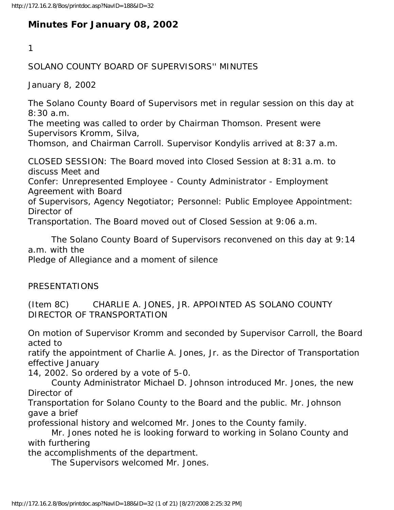# **Minutes For January 08, 2002**

1

### SOLANO COUNTY BOARD OF SUPERVISORS'' MINUTES

January 8, 2002

The Solano County Board of Supervisors met in regular session on this day at 8:30 a.m.

The meeting was called to order by Chairman Thomson. Present were Supervisors Kromm, Silva,

Thomson, and Chairman Carroll. Supervisor Kondylis arrived at 8:37 a.m.

CLOSED SESSION: The Board moved into Closed Session at 8:31 a.m. to discuss Meet and

Confer: Unrepresented Employee - County Administrator - Employment Agreement with Board

of Supervisors, Agency Negotiator; Personnel: Public Employee Appointment: Director of

Transportation. The Board moved out of Closed Session at 9:06 a.m.

 The Solano County Board of Supervisors reconvened on this day at 9:14 a.m. with the

Pledge of Allegiance and a moment of silence

PRESENTATIONS

(Item 8C) CHARLIE A. JONES, JR. APPOINTED AS SOLANO COUNTY DIRECTOR OF TRANSPORTATION

On motion of Supervisor Kromm and seconded by Supervisor Carroll, the Board acted to

ratify the appointment of Charlie A. Jones, Jr. as the Director of Transportation effective January

14, 2002. So ordered by a vote of 5-0.

 County Administrator Michael D. Johnson introduced Mr. Jones, the new Director of

Transportation for Solano County to the Board and the public. Mr. Johnson gave a brief

professional history and welcomed Mr. Jones to the County family.

 Mr. Jones noted he is looking forward to working in Solano County and with furthering

the accomplishments of the department.

The Supervisors welcomed Mr. Jones.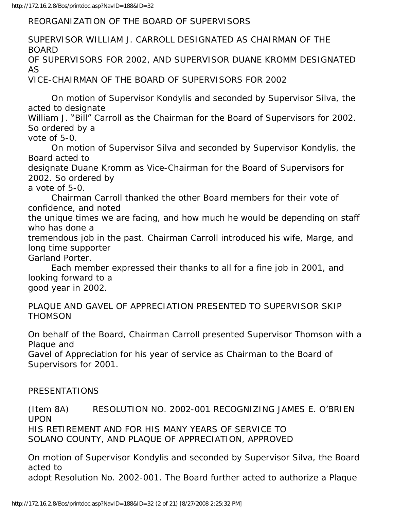REORGANIZATION OF THE BOARD OF SUPERVISORS

SUPERVISOR WILLIAM J. CARROLL DESIGNATED AS CHAIRMAN OF THE BOARD OF SUPERVISORS FOR 2002, AND SUPERVISOR DUANE KROMM DESIGNATED AS VICE-CHAIRMAN OF THE BOARD OF SUPERVISORS FOR 2002

 On motion of Supervisor Kondylis and seconded by Supervisor Silva, the acted to designate

William J. "Bill" Carroll as the Chairman for the Board of Supervisors for 2002. So ordered by a

vote of 5-0.

 On motion of Supervisor Silva and seconded by Supervisor Kondylis, the Board acted to

designate Duane Kromm as Vice-Chairman for the Board of Supervisors for 2002. So ordered by

a vote of 5-0.

 Chairman Carroll thanked the other Board members for their vote of confidence, and noted

the unique times we are facing, and how much he would be depending on staff who has done a

tremendous job in the past. Chairman Carroll introduced his wife, Marge, and long time supporter Garland Porter.

 Each member expressed their thanks to all for a fine job in 2001, and looking forward to a good year in 2002.

PLAQUE AND GAVEL OF APPRECIATION PRESENTED TO SUPERVISOR SKIP **THOMSON** 

On behalf of the Board, Chairman Carroll presented Supervisor Thomson with a Plaque and

Gavel of Appreciation for his year of service as Chairman to the Board of Supervisors for 2001.

### PRESENTATIONS

(Item 8A) RESOLUTION NO. 2002-001 RECOGNIZING JAMES E. O'BRIEN UPON HIS RETIREMENT AND FOR HIS MANY YEARS OF SERVICE TO SOLANO COUNTY, AND PLAQUE OF APPRECIATION, APPROVED

On motion of Supervisor Kondylis and seconded by Supervisor Silva, the Board acted to

adopt Resolution No. 2002-001. The Board further acted to authorize a Plaque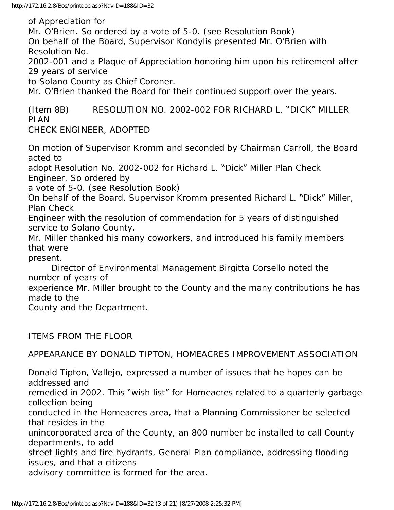of Appreciation for

Mr. O'Brien. So ordered by a vote of 5-0. (see Resolution Book) On behalf of the Board, Supervisor Kondylis presented Mr. O'Brien with Resolution No.

2002-001 and a Plaque of Appreciation honoring him upon his retirement after 29 years of service

to Solano County as Chief Coroner.

Mr. O'Brien thanked the Board for their continued support over the years.

(Item 8B) RESOLUTION NO. 2002-002 FOR RICHARD L. "DICK" MILLER PLAN

CHECK ENGINEER, ADOPTED

On motion of Supervisor Kromm and seconded by Chairman Carroll, the Board acted to

adopt Resolution No. 2002-002 for Richard L. "Dick" Miller Plan Check Engineer. So ordered by

a vote of 5-0. (see Resolution Book)

On behalf of the Board, Supervisor Kromm presented Richard L. "Dick" Miller, Plan Check

Engineer with the resolution of commendation for 5 years of distinguished service to Solano County.

Mr. Miller thanked his many coworkers, and introduced his family members that were

present.

 Director of Environmental Management Birgitta Corsello noted the number of years of

experience Mr. Miller brought to the County and the many contributions he has made to the

County and the Department.

ITEMS FROM THE FLOOR

APPEARANCE BY DONALD TIPTON, HOMEACRES IMPROVEMENT ASSOCIATION

Donald Tipton, Vallejo, expressed a number of issues that he hopes can be addressed and

remedied in 2002. This "wish list" for Homeacres related to a quarterly garbage collection being

conducted in the Homeacres area, that a Planning Commissioner be selected that resides in the

unincorporated area of the County, an 800 number be installed to call County departments, to add

street lights and fire hydrants, General Plan compliance, addressing flooding issues, and that a citizens

advisory committee is formed for the area.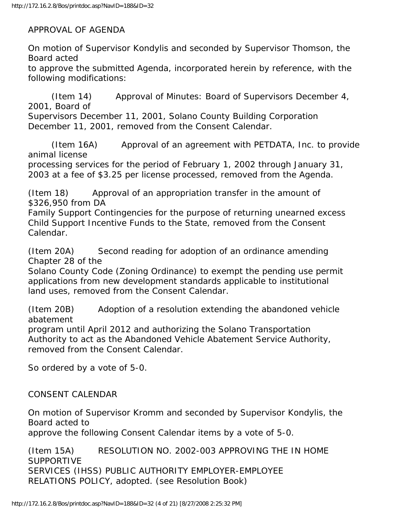APPROVAL OF AGENDA

On motion of Supervisor Kondylis and seconded by Supervisor Thomson, the Board acted

to approve the submitted Agenda, incorporated herein by reference, with the following modifications:

 (Item 14) Approval of Minutes: Board of Supervisors December 4, 2001, Board of Supervisors December 11, 2001, Solano County Building Corporation December 11, 2001, removed from the Consent Calendar.

 (Item 16A) Approval of an agreement with PETDATA, Inc. to provide animal license

processing services for the period of February 1, 2002 through January 31, 2003 at a fee of \$3.25 per license processed, removed from the Agenda.

(Item 18) Approval of an appropriation transfer in the amount of \$326,950 from DA

Family Support Contingencies for the purpose of returning unearned excess Child Support Incentive Funds to the State, removed from the Consent Calendar.

(Item 20A) Second reading for adoption of an ordinance amending Chapter 28 of the

Solano County Code (Zoning Ordinance) to exempt the pending use permit applications from new development standards applicable to institutional land uses, removed from the Consent Calendar.

(Item 20B) Adoption of a resolution extending the abandoned vehicle abatement

program until April 2012 and authorizing the Solano Transportation Authority to act as the Abandoned Vehicle Abatement Service Authority, removed from the Consent Calendar.

So ordered by a vote of 5-0.

## CONSENT CALENDAR

On motion of Supervisor Kromm and seconded by Supervisor Kondylis, the Board acted to approve the following Consent Calendar items by a vote of 5-0.

(Item 15A) RESOLUTION NO. 2002-003 APPROVING THE IN HOME SUPPORTIVE SERVICES (IHSS) PUBLIC AUTHORITY EMPLOYER-EMPLOYEE RELATIONS POLICY, adopted. (see Resolution Book)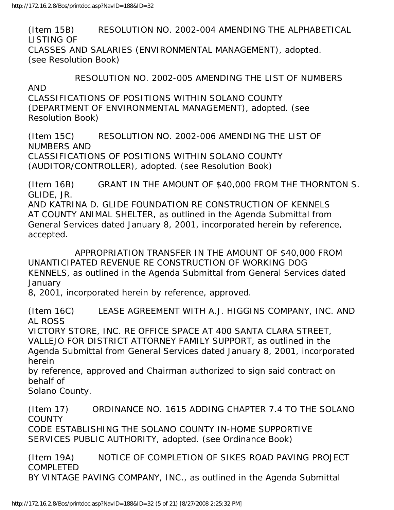(Item 15B) RESOLUTION NO. 2002-004 AMENDING THE ALPHABETICAL LISTING OF CLASSES AND SALARIES (ENVIRONMENTAL MANAGEMENT), adopted. (see Resolution Book)

 RESOLUTION NO. 2002-005 AMENDING THE LIST OF NUMBERS AND CLASSIFICATIONS OF POSITIONS WITHIN SOLANO COUNTY (DEPARTMENT OF ENVIRONMENTAL MANAGEMENT), adopted. (see Resolution Book)

(Item 15C) RESOLUTION NO. 2002-006 AMENDING THE LIST OF NUMBERS AND CLASSIFICATIONS OF POSITIONS WITHIN SOLANO COUNTY (AUDITOR/CONTROLLER), adopted. (see Resolution Book)

(Item 16B) GRANT IN THE AMOUNT OF \$40,000 FROM THE THORNTON S. GLIDE, JR.

AND KATRINA D. GLIDE FOUNDATION RE CONSTRUCTION OF KENNELS AT COUNTY ANIMAL SHELTER, as outlined in the Agenda Submittal from General Services dated January 8, 2001, incorporated herein by reference, accepted.

 APPROPRIATION TRANSFER IN THE AMOUNT OF \$40,000 FROM UNANTICIPATED REVENUE RE CONSTRUCTION OF WORKING DOG KENNELS, as outlined in the Agenda Submittal from General Services dated January

8, 2001, incorporated herein by reference, approved.

(Item 16C) LEASE AGREEMENT WITH A.J. HIGGINS COMPANY, INC. AND AL ROSS

VICTORY STORE, INC. RE OFFICE SPACE AT 400 SANTA CLARA STREET, VALLEJO FOR DISTRICT ATTORNEY FAMILY SUPPORT, as outlined in the Agenda Submittal from General Services dated January 8, 2001, incorporated herein

by reference, approved and Chairman authorized to sign said contract on behalf of

Solano County.

(Item 17) ORDINANCE NO. 1615 ADDING CHAPTER 7.4 TO THE SOLANO **COUNTY** 

CODE ESTABLISHING THE SOLANO COUNTY IN-HOME SUPPORTIVE SERVICES PUBLIC AUTHORITY, adopted. (see Ordinance Book)

(Item 19A) NOTICE OF COMPLETION OF SIKES ROAD PAVING PROJECT COMPLETED BY VINTAGE PAVING COMPANY, INC., as outlined in the Agenda Submittal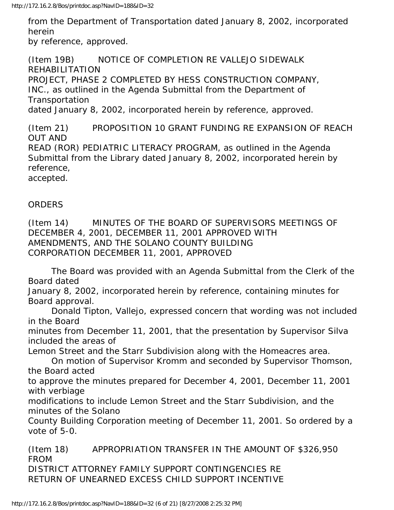from the Department of Transportation dated January 8, 2002, incorporated herein by reference, approved.

(Item 19B) NOTICE OF COMPLETION RE VALLEJO SIDEWALK REHABILITATION PROJECT, PHASE 2 COMPLETED BY HESS CONSTRUCTION COMPANY, INC., as outlined in the Agenda Submittal from the Department of Transportation dated January 8, 2002, incorporated herein by reference, approved.

(Item 21) PROPOSITION 10 GRANT FUNDING RE EXPANSION OF REACH OUT AND READ (ROR) PEDIATRIC LITERACY PROGRAM, as outlined in the Agenda Submittal from the Library dated January 8, 2002, incorporated herein by reference, accepted.

#### ORDERS

(Item 14) MINUTES OF THE BOARD OF SUPERVISORS MEETINGS OF DECEMBER 4, 2001, DECEMBER 11, 2001 APPROVED WITH AMENDMENTS, AND THE SOLANO COUNTY BUILDING CORPORATION DECEMBER 11, 2001, APPROVED

 The Board was provided with an Agenda Submittal from the Clerk of the Board dated

January 8, 2002, incorporated herein by reference, containing minutes for Board approval.

 Donald Tipton, Vallejo, expressed concern that wording was not included in the Board

minutes from December 11, 2001, that the presentation by Supervisor Silva included the areas of

Lemon Street and the Starr Subdivision along with the Homeacres area.

 On motion of Supervisor Kromm and seconded by Supervisor Thomson, the Board acted

to approve the minutes prepared for December 4, 2001, December 11, 2001 with verbiage

modifications to include Lemon Street and the Starr Subdivision, and the minutes of the Solano

County Building Corporation meeting of December 11, 2001. So ordered by a vote of 5-0.

(Item 18) APPROPRIATION TRANSFER IN THE AMOUNT OF \$326,950 FROM DISTRICT ATTORNEY FAMILY SUPPORT CONTINGENCIES RE RETURN OF UNEARNED EXCESS CHILD SUPPORT INCENTIVE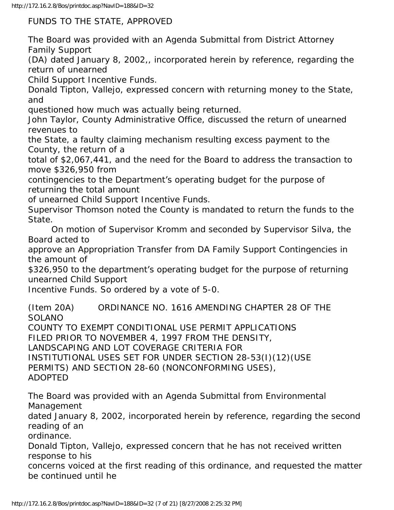FUNDS TO THE STATE, APPROVED

The Board was provided with an Agenda Submittal from District Attorney Family Support

(DA) dated January 8, 2002,, incorporated herein by reference, regarding the return of unearned

Child Support Incentive Funds.

Donald Tipton, Vallejo, expressed concern with returning money to the State, and

questioned how much was actually being returned.

John Taylor, County Administrative Office, discussed the return of unearned revenues to

the State, a faulty claiming mechanism resulting excess payment to the County, the return of a

total of \$2,067,441, and the need for the Board to address the transaction to move \$326,950 from

contingencies to the Department's operating budget for the purpose of returning the total amount

of unearned Child Support Incentive Funds.

Supervisor Thomson noted the County is mandated to return the funds to the State.

 On motion of Supervisor Kromm and seconded by Supervisor Silva, the Board acted to

approve an Appropriation Transfer from DA Family Support Contingencies in the amount of

\$326,950 to the department's operating budget for the purpose of returning unearned Child Support

Incentive Funds. So ordered by a vote of 5-0.

(Item 20A) ORDINANCE NO. 1616 AMENDING CHAPTER 28 OF THE **SOLANO** 

COUNTY TO EXEMPT CONDITIONAL USE PERMIT APPLICATIONS FILED PRIOR TO NOVEMBER 4, 1997 FROM THE DENSITY, LANDSCAPING AND LOT COVERAGE CRITERIA FOR INSTITUTIONAL USES SET FOR UNDER SECTION 28-53(I)(12)(USE PERMITS) AND SECTION 28-60 (NONCONFORMING USES), ADOPTED

The Board was provided with an Agenda Submittal from Environmental Management dated January 8, 2002, incorporated herein by reference, regarding the second reading of an ordinance.

Donald Tipton, Vallejo, expressed concern that he has not received written response to his

concerns voiced at the first reading of this ordinance, and requested the matter be continued until he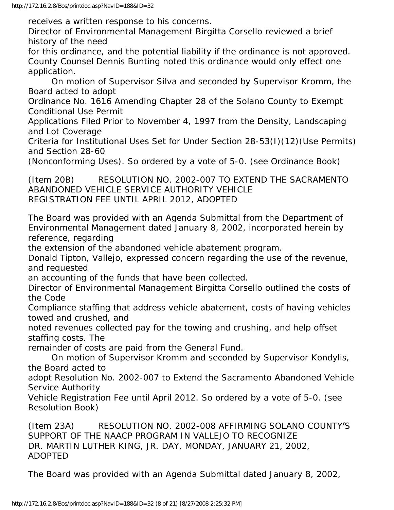receives a written response to his concerns.

Director of Environmental Management Birgitta Corsello reviewed a brief history of the need

for this ordinance, and the potential liability if the ordinance is not approved. County Counsel Dennis Bunting noted this ordinance would only effect one application.

 On motion of Supervisor Silva and seconded by Supervisor Kromm, the Board acted to adopt

Ordinance No. 1616 Amending Chapter 28 of the Solano County to Exempt Conditional Use Permit

Applications Filed Prior to November 4, 1997 from the Density, Landscaping and Lot Coverage

Criteria for Institutional Uses Set for Under Section 28-53(I)(12)(Use Permits) and Section 28-60

(Nonconforming Uses). So ordered by a vote of 5-0. (see Ordinance Book)

(Item 20B) RESOLUTION NO. 2002-007 TO EXTEND THE SACRAMENTO ABANDONED VEHICLE SERVICE AUTHORITY VEHICLE REGISTRATION FEE UNTIL APRIL 2012, ADOPTED

The Board was provided with an Agenda Submittal from the Department of Environmental Management dated January 8, 2002, incorporated herein by reference, regarding

the extension of the abandoned vehicle abatement program.

Donald Tipton, Vallejo, expressed concern regarding the use of the revenue, and requested

an accounting of the funds that have been collected.

Director of Environmental Management Birgitta Corsello outlined the costs of the Code

Compliance staffing that address vehicle abatement, costs of having vehicles towed and crushed, and

noted revenues collected pay for the towing and crushing, and help offset staffing costs. The

remainder of costs are paid from the General Fund.

 On motion of Supervisor Kromm and seconded by Supervisor Kondylis, the Board acted to

adopt Resolution No. 2002-007 to Extend the Sacramento Abandoned Vehicle Service Authority

Vehicle Registration Fee until April 2012. So ordered by a vote of 5-0. (see Resolution Book)

(Item 23A) RESOLUTION NO. 2002-008 AFFIRMING SOLANO COUNTY'S SUPPORT OF THE NAACP PROGRAM IN VALLEJO TO RECOGNIZE DR. MARTIN LUTHER KING, JR. DAY, MONDAY, JANUARY 21, 2002, ADOPTED

The Board was provided with an Agenda Submittal dated January 8, 2002,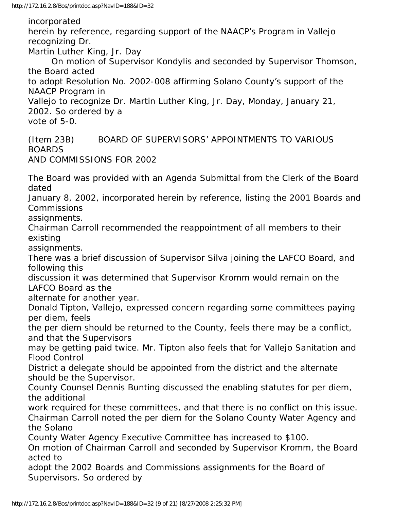incorporated

herein by reference, regarding support of the NAACP's Program in Vallejo recognizing Dr. Martin Luther King, Jr. Day On motion of Supervisor Kondylis and seconded by Supervisor Thomson, the Board acted to adopt Resolution No. 2002-008 affirming Solano County's support of the NAACP Program in Vallejo to recognize Dr. Martin Luther King, Jr. Day, Monday, January 21, 2002. So ordered by a vote of 5-0.

(Item 23B) BOARD OF SUPERVISORS' APPOINTMENTS TO VARIOUS BOARDS AND COMMISSIONS FOR 2002

The Board was provided with an Agenda Submittal from the Clerk of the Board dated

January 8, 2002, incorporated herein by reference, listing the 2001 Boards and Commissions

assignments.

Chairman Carroll recommended the reappointment of all members to their existing

assignments.

There was a brief discussion of Supervisor Silva joining the LAFCO Board, and following this

discussion it was determined that Supervisor Kromm would remain on the LAFCO Board as the

alternate for another year.

Donald Tipton, Vallejo, expressed concern regarding some committees paying per diem, feels

the per diem should be returned to the County, feels there may be a conflict, and that the Supervisors

may be getting paid twice. Mr. Tipton also feels that for Vallejo Sanitation and Flood Control

District a delegate should be appointed from the district and the alternate should be the Supervisor.

County Counsel Dennis Bunting discussed the enabling statutes for per diem, the additional

work required for these committees, and that there is no conflict on this issue. Chairman Carroll noted the per diem for the Solano County Water Agency and the Solano

County Water Agency Executive Committee has increased to \$100.

On motion of Chairman Carroll and seconded by Supervisor Kromm, the Board acted to

adopt the 2002 Boards and Commissions assignments for the Board of Supervisors. So ordered by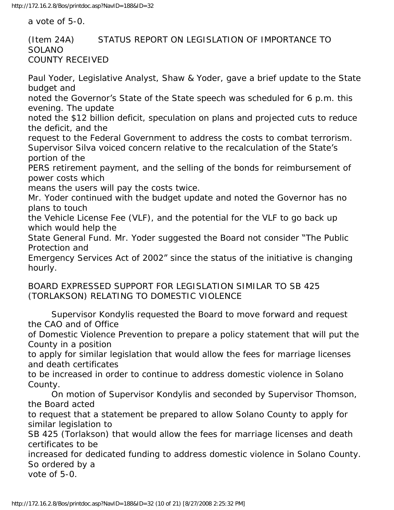a vote of 5-0.

#### (Item 24A) STATUS REPORT ON LEGISLATION OF IMPORTANCE TO **SOLANO** COUNTY RECEIVED

Paul Yoder, Legislative Analyst, Shaw & Yoder, gave a brief update to the State budget and noted the Governor's State of the State speech was scheduled for 6 p.m. this evening. The update noted the \$12 billion deficit, speculation on plans and projected cuts to reduce the deficit, and the request to the Federal Government to address the costs to combat terrorism. Supervisor Silva voiced concern relative to the recalculation of the State's portion of the PERS retirement payment, and the selling of the bonds for reimbursement of power costs which means the users will pay the costs twice. Mr. Yoder continued with the budget update and noted the Governor has no plans to touch the Vehicle License Fee (VLF), and the potential for the VLF to go back up which would help the State General Fund. Mr. Yoder suggested the Board not consider "The Public Protection and Emergency Services Act of 2002" since the status of the initiative is changing hourly. BOARD EXPRESSED SUPPORT FOR LEGISLATION SIMILAR TO SB 425 (TORLAKSON) RELATING TO DOMESTIC VIOLENCE

 Supervisor Kondylis requested the Board to move forward and request the CAO and of Office

of Domestic Violence Prevention to prepare a policy statement that will put the County in a position

to apply for similar legislation that would allow the fees for marriage licenses and death certificates

to be increased in order to continue to address domestic violence in Solano County.

 On motion of Supervisor Kondylis and seconded by Supervisor Thomson, the Board acted

to request that a statement be prepared to allow Solano County to apply for similar legislation to

SB 425 (Torlakson) that would allow the fees for marriage licenses and death certificates to be

increased for dedicated funding to address domestic violence in Solano County. So ordered by a

vote of 5-0.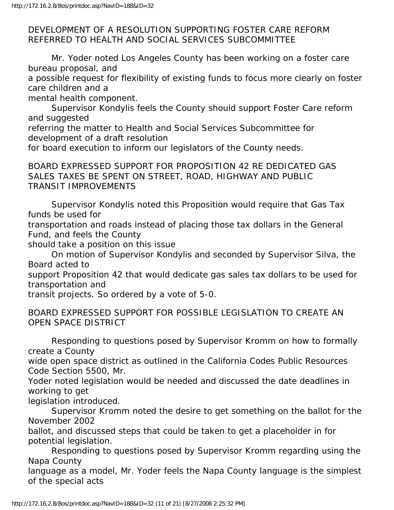#### DEVELOPMENT OF A RESOLUTION SUPPORTING FOSTER CARE REFORM REFERRED TO HEALTH AND SOCIAL SERVICES SUBCOMMITTEE

 Mr. Yoder noted Los Angeles County has been working on a foster care bureau proposal, and

a possible request for flexibility of existing funds to focus more clearly on foster care children and a

mental health component.

 Supervisor Kondylis feels the County should support Foster Care reform and suggested

referring the matter to Health and Social Services Subcommittee for development of a draft resolution

for board execution to inform our legislators of the County needs.

BOARD EXPRESSED SUPPORT FOR PROPOSITION 42 RE DEDICATED GAS SALES TAXES BE SPENT ON STREET, ROAD, HIGHWAY AND PUBLIC TRANSIT IMPROVEMENTS

 Supervisor Kondylis noted this Proposition would require that Gas Tax funds be used for

transportation and roads instead of placing those tax dollars in the General Fund, and feels the County

should take a position on this issue

 On motion of Supervisor Kondylis and seconded by Supervisor Silva, the Board acted to

support Proposition 42 that would dedicate gas sales tax dollars to be used for transportation and

transit projects. So ordered by a vote of 5-0.

BOARD EXPRESSED SUPPORT FOR POSSIBLE LEGISLATION TO CREATE AN OPEN SPACE DISTRICT

 Responding to questions posed by Supervisor Kromm on how to formally create a County

wide open space district as outlined in the California Codes Public Resources Code Section 5500, Mr.

Yoder noted legislation would be needed and discussed the date deadlines in working to get

legislation introduced.

 Supervisor Kromm noted the desire to get something on the ballot for the November 2002

ballot, and discussed steps that could be taken to get a placeholder in for potential legislation.

 Responding to questions posed by Supervisor Kromm regarding using the Napa County

language as a model, Mr. Yoder feels the Napa County language is the simplest of the special acts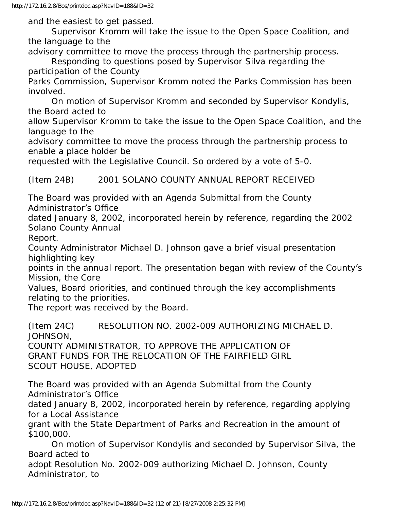and the easiest to get passed.

 Supervisor Kromm will take the issue to the Open Space Coalition, and the language to the

advisory committee to move the process through the partnership process.

 Responding to questions posed by Supervisor Silva regarding the participation of the County

Parks Commission, Supervisor Kromm noted the Parks Commission has been involved.

 On motion of Supervisor Kromm and seconded by Supervisor Kondylis, the Board acted to

allow Supervisor Kromm to take the issue to the Open Space Coalition, and the language to the

advisory committee to move the process through the partnership process to enable a place holder be

requested with the Legislative Council. So ordered by a vote of 5-0.

(Item 24B) 2001 SOLANO COUNTY ANNUAL REPORT RECEIVED

The Board was provided with an Agenda Submittal from the County Administrator's Office

dated January 8, 2002, incorporated herein by reference, regarding the 2002 Solano County Annual

Report.

County Administrator Michael D. Johnson gave a brief visual presentation highlighting key

points in the annual report. The presentation began with review of the County's Mission, the Core

Values, Board priorities, and continued through the key accomplishments relating to the priorities.

The report was received by the Board.

(Item 24C) RESOLUTION NO. 2002-009 AUTHORIZING MICHAEL D. JOHNSON,

COUNTY ADMINISTRATOR, TO APPROVE THE APPLICATION OF GRANT FUNDS FOR THE RELOCATION OF THE FAIRFIELD GIRL SCOUT HOUSE, ADOPTED

The Board was provided with an Agenda Submittal from the County Administrator's Office

dated January 8, 2002, incorporated herein by reference, regarding applying for a Local Assistance

grant with the State Department of Parks and Recreation in the amount of \$100,000.

 On motion of Supervisor Kondylis and seconded by Supervisor Silva, the Board acted to

adopt Resolution No. 2002-009 authorizing Michael D. Johnson, County Administrator, to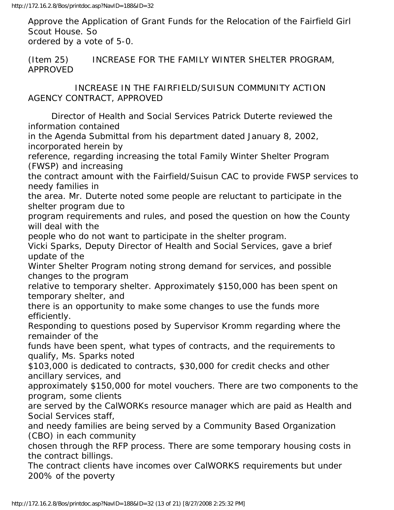Approve the Application of Grant Funds for the Relocation of the Fairfield Girl Scout House. So ordered by a vote of 5-0.

(Item 25) INCREASE FOR THE FAMILY WINTER SHELTER PROGRAM, APPROVED

 INCREASE IN THE FAIRFIELD/SUISUN COMMUNITY ACTION AGENCY CONTRACT, APPROVED

 Director of Health and Social Services Patrick Duterte reviewed the information contained

in the Agenda Submittal from his department dated January 8, 2002, incorporated herein by

reference, regarding increasing the total Family Winter Shelter Program (FWSP) and increasing

the contract amount with the Fairfield/Suisun CAC to provide FWSP services to needy families in

the area. Mr. Duterte noted some people are reluctant to participate in the shelter program due to

program requirements and rules, and posed the question on how the County will deal with the

people who do not want to participate in the shelter program.

Vicki Sparks, Deputy Director of Health and Social Services, gave a brief update of the

Winter Shelter Program noting strong demand for services, and possible changes to the program

relative to temporary shelter. Approximately \$150,000 has been spent on temporary shelter, and

there is an opportunity to make some changes to use the funds more efficiently.

Responding to questions posed by Supervisor Kromm regarding where the remainder of the

funds have been spent, what types of contracts, and the requirements to qualify, Ms. Sparks noted

\$103,000 is dedicated to contracts, \$30,000 for credit checks and other ancillary services, and

approximately \$150,000 for motel vouchers. There are two components to the program, some clients

are served by the CalWORKs resource manager which are paid as Health and Social Services staff,

and needy families are being served by a Community Based Organization (CBO) in each community

chosen through the RFP process. There are some temporary housing costs in the contract billings.

The contract clients have incomes over CalWORKS requirements but under 200% of the poverty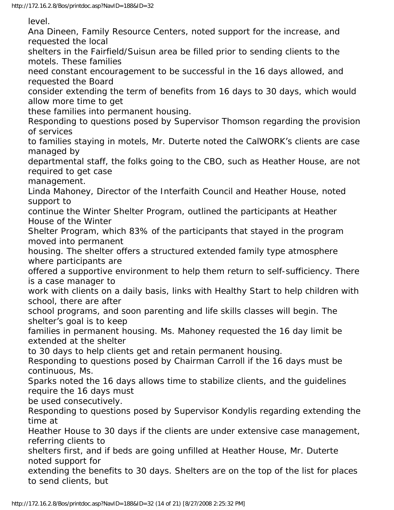level.

Ana Dineen, Family Resource Centers, noted support for the increase, and requested the local

shelters in the Fairfield/Suisun area be filled prior to sending clients to the motels. These families

need constant encouragement to be successful in the 16 days allowed, and requested the Board

consider extending the term of benefits from 16 days to 30 days, which would allow more time to get

these families into permanent housing.

Responding to questions posed by Supervisor Thomson regarding the provision of services

to families staying in motels, Mr. Duterte noted the CalWORK's clients are case managed by

departmental staff, the folks going to the CBO, such as Heather House, are not required to get case

management.

Linda Mahoney, Director of the Interfaith Council and Heather House, noted support to

continue the Winter Shelter Program, outlined the participants at Heather House of the Winter

Shelter Program, which 83% of the participants that stayed in the program moved into permanent

housing. The shelter offers a structured extended family type atmosphere where participants are

offered a supportive environment to help them return to self-sufficiency. There is a case manager to

work with clients on a daily basis, links with Healthy Start to help children with school, there are after

school programs, and soon parenting and life skills classes will begin. The shelter's goal is to keep

families in permanent housing. Ms. Mahoney requested the 16 day limit be extended at the shelter

to 30 days to help clients get and retain permanent housing.

Responding to questions posed by Chairman Carroll if the 16 days must be continuous, Ms.

Sparks noted the 16 days allows time to stabilize clients, and the guidelines require the 16 days must

be used consecutively.

Responding to questions posed by Supervisor Kondylis regarding extending the time at

Heather House to 30 days if the clients are under extensive case management, referring clients to

shelters first, and if beds are going unfilled at Heather House, Mr. Duterte noted support for

extending the benefits to 30 days. Shelters are on the top of the list for places to send clients, but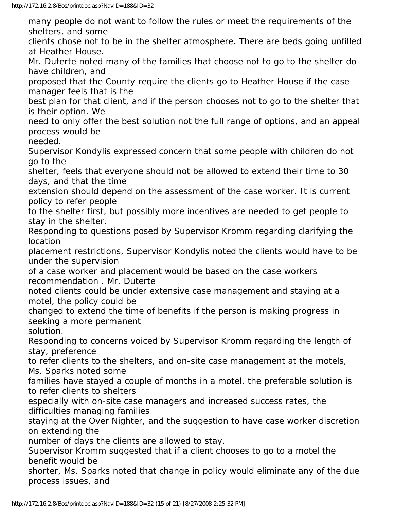many people do not want to follow the rules or meet the requirements of the shelters, and some

clients chose not to be in the shelter atmosphere. There are beds going unfilled at Heather House.

Mr. Duterte noted many of the families that choose not to go to the shelter do have children, and

proposed that the County require the clients go to Heather House if the case manager feels that is the

best plan for that client, and if the person chooses not to go to the shelter that is their option. We

need to only offer the best solution not the full range of options, and an appeal process would be

needed.

Supervisor Kondylis expressed concern that some people with children do not go to the

shelter, feels that everyone should not be allowed to extend their time to 30 days, and that the time

extension should depend on the assessment of the case worker. It is current policy to refer people

to the shelter first, but possibly more incentives are needed to get people to stay in the shelter.

Responding to questions posed by Supervisor Kromm regarding clarifying the location

placement restrictions, Supervisor Kondylis noted the clients would have to be under the supervision

of a case worker and placement would be based on the case workers recommendation . Mr. Duterte

noted clients could be under extensive case management and staying at a motel, the policy could be

changed to extend the time of benefits if the person is making progress in seeking a more permanent

solution.

Responding to concerns voiced by Supervisor Kromm regarding the length of stay, preference

to refer clients to the shelters, and on-site case management at the motels, Ms. Sparks noted some

families have stayed a couple of months in a motel, the preferable solution is to refer clients to shelters

especially with on-site case managers and increased success rates, the difficulties managing families

staying at the Over Nighter, and the suggestion to have case worker discretion on extending the

number of days the clients are allowed to stay.

Supervisor Kromm suggested that if a client chooses to go to a motel the benefit would be

shorter, Ms. Sparks noted that change in policy would eliminate any of the due process issues, and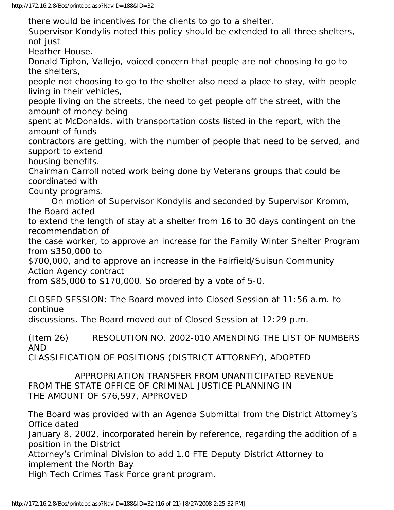there would be incentives for the clients to go to a shelter.

Supervisor Kondylis noted this policy should be extended to all three shelters, not just

Heather House.

Donald Tipton, Vallejo, voiced concern that people are not choosing to go to the shelters,

people not choosing to go to the shelter also need a place to stay, with people living in their vehicles,

people living on the streets, the need to get people off the street, with the amount of money being

spent at McDonalds, with transportation costs listed in the report, with the amount of funds

contractors are getting, with the number of people that need to be served, and support to extend

housing benefits.

Chairman Carroll noted work being done by Veterans groups that could be coordinated with

County programs.

 On motion of Supervisor Kondylis and seconded by Supervisor Kromm, the Board acted

to extend the length of stay at a shelter from 16 to 30 days contingent on the recommendation of

the case worker, to approve an increase for the Family Winter Shelter Program from \$350,000 to

\$700,000, and to approve an increase in the Fairfield/Suisun Community Action Agency contract

from \$85,000 to \$170,000. So ordered by a vote of 5-0.

CLOSED SESSION: The Board moved into Closed Session at 11:56 a.m. to continue

discussions. The Board moved out of Closed Session at 12:29 p.m.

(Item 26) RESOLUTION NO. 2002-010 AMENDING THE LIST OF NUMBERS AND

CLASSIFICATION OF POSITIONS (DISTRICT ATTORNEY), ADOPTED

 APPROPRIATION TRANSFER FROM UNANTICIPATED REVENUE FROM THE STATE OFFICE OF CRIMINAL JUSTICE PLANNING IN THE AMOUNT OF \$76,597, APPROVED

The Board was provided with an Agenda Submittal from the District Attorney's Office dated

January 8, 2002, incorporated herein by reference, regarding the addition of a position in the District

Attorney's Criminal Division to add 1.0 FTE Deputy District Attorney to implement the North Bay

High Tech Crimes Task Force grant program.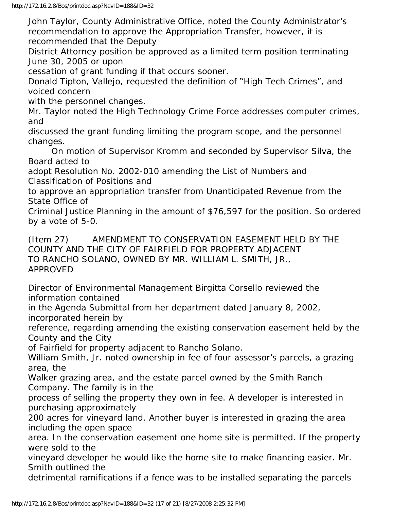John Taylor, County Administrative Office, noted the County Administrator's recommendation to approve the Appropriation Transfer, however, it is recommended that the Deputy

District Attorney position be approved as a limited term position terminating June 30, 2005 or upon

cessation of grant funding if that occurs sooner.

Donald Tipton, Vallejo, requested the definition of "High Tech Crimes", and voiced concern

with the personnel changes.

Mr. Taylor noted the High Technology Crime Force addresses computer crimes, and

discussed the grant funding limiting the program scope, and the personnel changes.

 On motion of Supervisor Kromm and seconded by Supervisor Silva, the Board acted to

adopt Resolution No. 2002-010 amending the List of Numbers and Classification of Positions and

to approve an appropriation transfer from Unanticipated Revenue from the State Office of

Criminal Justice Planning in the amount of \$76,597 for the position. So ordered by a vote of 5-0.

(Item 27) AMENDMENT TO CONSERVATION EASEMENT HELD BY THE COUNTY AND THE CITY OF FAIRFIELD FOR PROPERTY ADJACENT TO RANCHO SOLANO, OWNED BY MR. WILLIAM L. SMITH, JR., APPROVED

Director of Environmental Management Birgitta Corsello reviewed the information contained

in the Agenda Submittal from her department dated January 8, 2002, incorporated herein by

reference, regarding amending the existing conservation easement held by the County and the City

of Fairfield for property adjacent to Rancho Solano.

William Smith, Jr. noted ownership in fee of four assessor's parcels, a grazing area, the

Walker grazing area, and the estate parcel owned by the Smith Ranch Company. The family is in the

process of selling the property they own in fee. A developer is interested in purchasing approximately

200 acres for vineyard land. Another buyer is interested in grazing the area including the open space

area. In the conservation easement one home site is permitted. If the property were sold to the

vineyard developer he would like the home site to make financing easier. Mr. Smith outlined the

detrimental ramifications if a fence was to be installed separating the parcels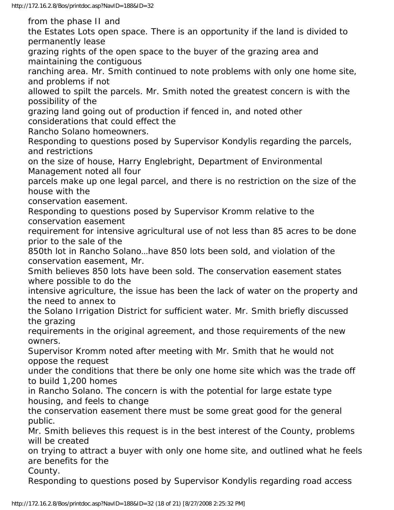from the phase II and

the Estates Lots open space. There is an opportunity if the land is divided to permanently lease

grazing rights of the open space to the buyer of the grazing area and maintaining the contiguous

ranching area. Mr. Smith continued to note problems with only one home site, and problems if not

allowed to spilt the parcels. Mr. Smith noted the greatest concern is with the possibility of the

grazing land going out of production if fenced in, and noted other considerations that could effect the

Rancho Solano homeowners.

Responding to questions posed by Supervisor Kondylis regarding the parcels, and restrictions

on the size of house, Harry Englebright, Department of Environmental Management noted all four

parcels make up one legal parcel, and there is no restriction on the size of the house with the

conservation easement.

Responding to questions posed by Supervisor Kromm relative to the conservation easement

requirement for intensive agricultural use of not less than 85 acres to be done prior to the sale of the

850th lot in Rancho Solano…have 850 lots been sold, and violation of the conservation easement, Mr.

Smith believes 850 lots have been sold. The conservation easement states where possible to do the

intensive agriculture, the issue has been the lack of water on the property and the need to annex to

the Solano Irrigation District for sufficient water. Mr. Smith briefly discussed the grazing

requirements in the original agreement, and those requirements of the new owners.

Supervisor Kromm noted after meeting with Mr. Smith that he would not oppose the request

under the conditions that there be only one home site which was the trade off to build 1,200 homes

in Rancho Solano. The concern is with the potential for large estate type housing, and feels to change

the conservation easement there must be some great good for the general public.

Mr. Smith believes this request is in the best interest of the County, problems will be created

on trying to attract a buyer with only one home site, and outlined what he feels are benefits for the

County.

Responding to questions posed by Supervisor Kondylis regarding road access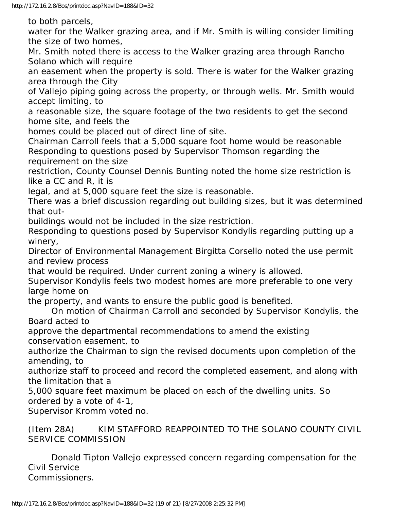to both parcels,

water for the Walker grazing area, and if Mr. Smith is willing consider limiting the size of two homes,

Mr. Smith noted there is access to the Walker grazing area through Rancho Solano which will require

an easement when the property is sold. There is water for the Walker grazing area through the City

of Vallejo piping going across the property, or through wells. Mr. Smith would accept limiting, to

a reasonable size, the square footage of the two residents to get the second home site, and feels the

homes could be placed out of direct line of site.

Chairman Carroll feels that a 5,000 square foot home would be reasonable Responding to questions posed by Supervisor Thomson regarding the requirement on the size

restriction, County Counsel Dennis Bunting noted the home size restriction is like a CC and R, it is

legal, and at 5,000 square feet the size is reasonable.

There was a brief discussion regarding out building sizes, but it was determined that out-

buildings would not be included in the size restriction.

Responding to questions posed by Supervisor Kondylis regarding putting up a winery,

Director of Environmental Management Birgitta Corsello noted the use permit and review process

that would be required. Under current zoning a winery is allowed.

Supervisor Kondylis feels two modest homes are more preferable to one very large home on

the property, and wants to ensure the public good is benefited.

 On motion of Chairman Carroll and seconded by Supervisor Kondylis, the Board acted to

approve the departmental recommendations to amend the existing conservation easement, to

authorize the Chairman to sign the revised documents upon completion of the amending, to

authorize staff to proceed and record the completed easement, and along with the limitation that a

5,000 square feet maximum be placed on each of the dwelling units. So ordered by a vote of 4-1,

Supervisor Kromm voted no.

(Item 28A) KIM STAFFORD REAPPOINTED TO THE SOLANO COUNTY CIVIL SERVICE COMMISSION

 Donald Tipton Vallejo expressed concern regarding compensation for the Civil Service Commissioners.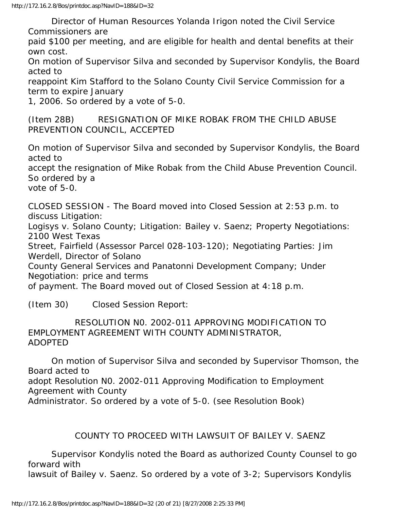Director of Human Resources Yolanda Irigon noted the Civil Service Commissioners are

paid \$100 per meeting, and are eligible for health and dental benefits at their own cost.

On motion of Supervisor Silva and seconded by Supervisor Kondylis, the Board acted to

reappoint Kim Stafford to the Solano County Civil Service Commission for a term to expire January

1, 2006. So ordered by a vote of 5-0.

(Item 28B) RESIGNATION OF MIKE ROBAK FROM THE CHILD ABUSE PREVENTION COUNCIL, ACCEPTED

On motion of Supervisor Silva and seconded by Supervisor Kondylis, the Board acted to

accept the resignation of Mike Robak from the Child Abuse Prevention Council. So ordered by a

vote of 5-0.

CLOSED SESSION - The Board moved into Closed Session at 2:53 p.m. to discuss Litigation:

Logisys v. Solano County; Litigation: Bailey v. Saenz; Property Negotiations: 2100 West Texas

Street, Fairfield (Assessor Parcel 028-103-120); Negotiating Parties: Jim Werdell, Director of Solano

County General Services and Panatonni Development Company; Under Negotiation: price and terms

of payment. The Board moved out of Closed Session at 4:18 p.m.

(Item 30) Closed Session Report:

 RESOLUTION N0. 2002-011 APPROVING MODIFICATION TO EMPLOYMENT AGREEMENT WITH COUNTY ADMINISTRATOR, ADOPTED

 On motion of Supervisor Silva and seconded by Supervisor Thomson, the Board acted to adopt Resolution N0. 2002-011 Approving Modification to Employment Agreement with County Administrator. So ordered by a vote of 5-0. (see Resolution Book)

### COUNTY TO PROCEED WITH LAWSUIT OF BAILEY V. SAENZ

 Supervisor Kondylis noted the Board as authorized County Counsel to go forward with

lawsuit of Bailey v. Saenz. So ordered by a vote of 3-2; Supervisors Kondylis